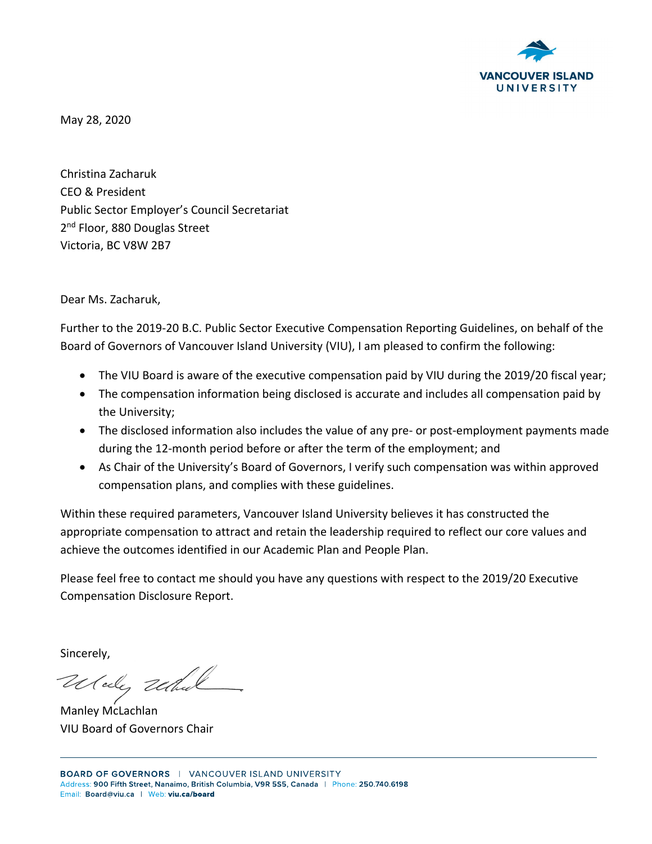

May 28, 2020

Christina Zacharuk CEO & President Public Sector Employer's Council Secretariat 2<sup>nd</sup> Floor, 880 Douglas Street Victoria, BC V8W 2B7

Dear Ms. Zacharuk,

Further to the 2019-20 B.C. Public Sector Executive Compensation Reporting Guidelines, on behalf of the Board of Governors of Vancouver Island University (VIU), I am pleased to confirm the following:

- The VIU Board is aware of the executive compensation paid by VIU during the 2019/20 fiscal year;
- The compensation information being disclosed is accurate and includes all compensation paid by the University;
- The disclosed information also includes the value of any pre- or post-employment payments made during the 12-month period before or after the term of the employment; and
- As Chair of the University's Board of Governors, I verify such compensation was within approved compensation plans, and complies with these guidelines.

Within these required parameters, Vancouver Island University believes it has constructed the appropriate compensation to attract and retain the leadership required to reflect our core values and achieve the outcomes identified in our Academic Plan and People Plan.

Please feel free to contact me should you have any questions with respect to the 2019/20 Executive Compensation Disclosure Report.

Sincerely,

Wedy Und

Manley McLachlan VIU Board of Governors Chair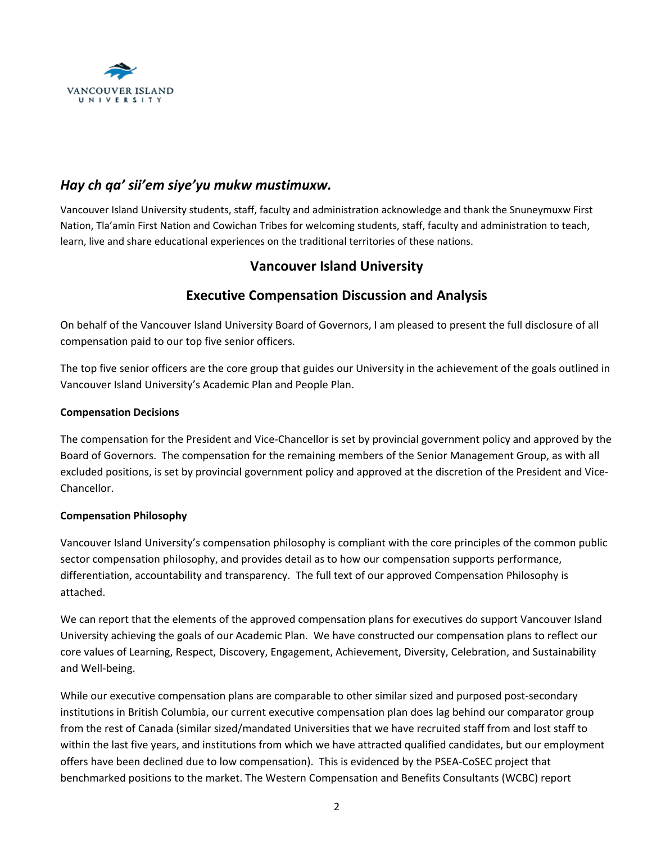

# *Hay ch qa' sii'em siye'yu mukw mustimuxw.*

Vancouver Island University students, staff, faculty and administration acknowledge and thank the Snuneymuxw First Nation, Tla'amin First Nation and Cowichan Tribes for welcoming students, staff, faculty and administration to teach, learn, live and share educational experiences on the traditional territories of these nations.

## **Vancouver Island University**

## **Executive Compensation Discussion and Analysis**

On behalf of the Vancouver Island University Board of Governors, I am pleased to present the full disclosure of all compensation paid to our top five senior officers.

The top five senior officers are the core group that guides our University in the achievement of the goals outlined in Vancouver Island University's Academic Plan and People Plan.

### **Compensation Decisions**

The compensation for the President and Vice-Chancellor is set by provincial government policy and approved by the Board of Governors. The compensation for the remaining members of the Senior Management Group, as with all excluded positions, is set by provincial government policy and approved at the discretion of the President and Vice-Chancellor.

### **Compensation Philosophy**

Vancouver Island University's compensation philosophy is compliant with the core principles of the common public sector compensation philosophy, and provides detail as to how our compensation supports performance, differentiation, accountability and transparency. The full text of our approved Compensation Philosophy is attached.

We can report that the elements of the approved compensation plans for executives do support Vancouver Island University achieving the goals of our Academic Plan. We have constructed our compensation plans to reflect our core values of Learning, Respect, Discovery, Engagement, Achievement, Diversity, Celebration, and Sustainability and Well-being.

While our executive compensation plans are comparable to other similar sized and purposed post-secondary institutions in British Columbia, our current executive compensation plan does lag behind our comparator group from the rest of Canada (similar sized/mandated Universities that we have recruited staff from and lost staff to within the last five years, and institutions from which we have attracted qualified candidates, but our employment offers have been declined due to low compensation). This is evidenced by the PSEA-CoSEC project that benchmarked positions to the market. The Western Compensation and Benefits Consultants (WCBC) report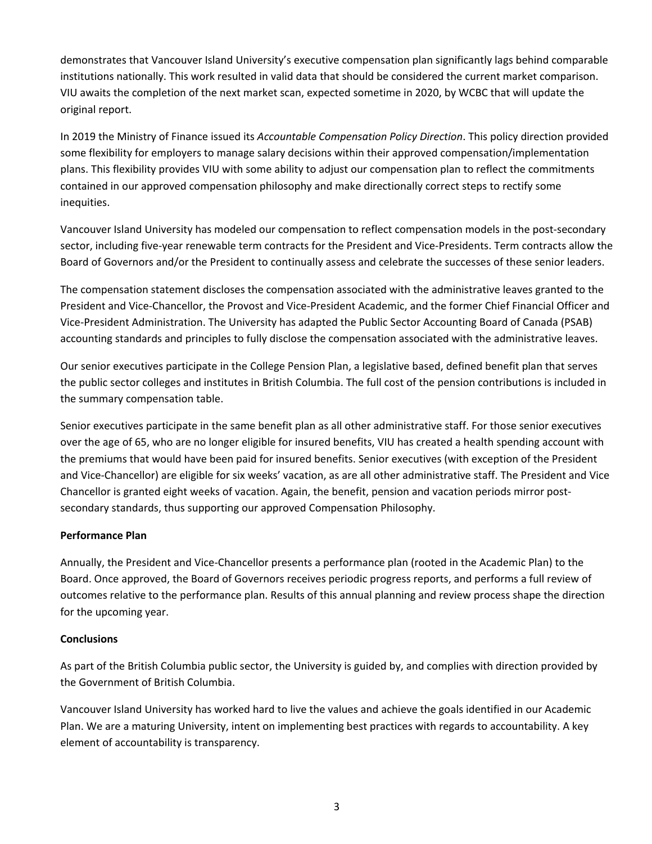demonstrates that Vancouver Island University's executive compensation plan significantly lags behind comparable institutions nationally. This work resulted in valid data that should be considered the current market comparison. VIU awaits the completion of the next market scan, expected sometime in 2020, by WCBC that will update the original report.

In 2019 the Ministry of Finance issued its *Accountable Compensation Policy Direction*. This policy direction provided some flexibility for employers to manage salary decisions within their approved compensation/implementation plans. This flexibility provides VIU with some ability to adjust our compensation plan to reflect the commitments contained in our approved compensation philosophy and make directionally correct steps to rectify some inequities.

Vancouver Island University has modeled our compensation to reflect compensation models in the post-secondary sector, including five-year renewable term contracts for the President and Vice-Presidents. Term contracts allow the Board of Governors and/or the President to continually assess and celebrate the successes of these senior leaders.

The compensation statement discloses the compensation associated with the administrative leaves granted to the President and Vice-Chancellor, the Provost and Vice-President Academic, and the former Chief Financial Officer and Vice-President Administration. The University has adapted the Public Sector Accounting Board of Canada (PSAB) accounting standards and principles to fully disclose the compensation associated with the administrative leaves.

Our senior executives participate in the College Pension Plan, a legislative based, defined benefit plan that serves the public sector colleges and institutes in British Columbia. The full cost of the pension contributions is included in the summary compensation table.

Senior executives participate in the same benefit plan as all other administrative staff. For those senior executives over the age of 65, who are no longer eligible for insured benefits, VIU has created a health spending account with the premiums that would have been paid for insured benefits. Senior executives (with exception of the President and Vice-Chancellor) are eligible for six weeks' vacation, as are all other administrative staff. The President and Vice Chancellor is granted eight weeks of vacation. Again, the benefit, pension and vacation periods mirror postsecondary standards, thus supporting our approved Compensation Philosophy.

### **Performance Plan**

Annually, the President and Vice-Chancellor presents a performance plan (rooted in the Academic Plan) to the Board. Once approved, the Board of Governors receives periodic progress reports, and performs a full review of outcomes relative to the performance plan. Results of this annual planning and review process shape the direction for the upcoming year.

### **Conclusions**

As part of the British Columbia public sector, the University is guided by, and complies with direction provided by the Government of British Columbia.

Vancouver Island University has worked hard to live the values and achieve the goals identified in our Academic Plan. We are a maturing University, intent on implementing best practices with regards to accountability. A key element of accountability is transparency.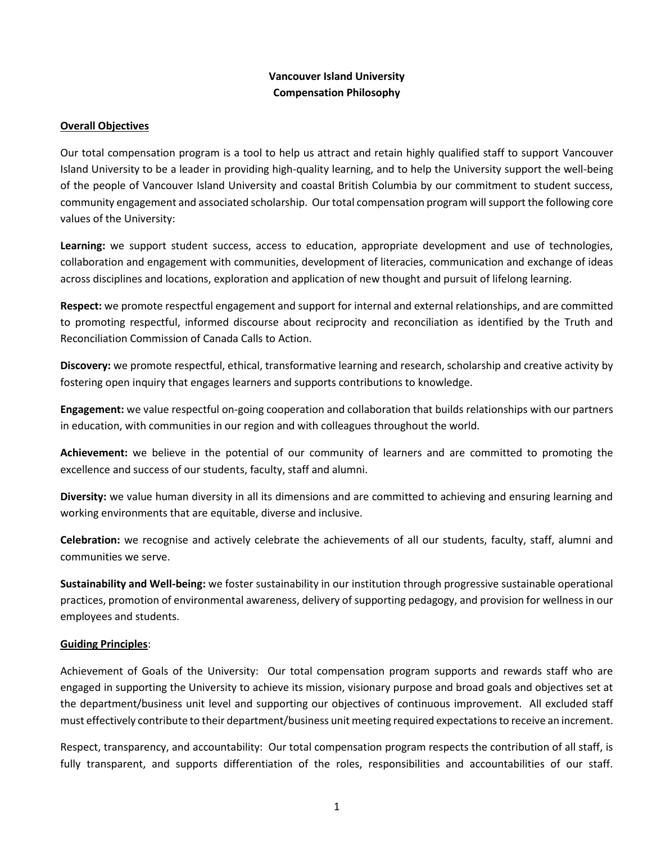## **Vancouver Island University Compensation Philosophy**

### **Overall Objectives**

Our total compensation program is a tool to help us attract and retain highly qualified staff to support Vancouver Island University to be a leader in providing high-quality learning, and to help the University support the well-being of the people of Vancouver Island University and coastal British Columbia by our commitment to student success, community engagement and associated scholarship. Our total compensation program will support the following core values of the University:

**Learning:** we support student success, access to education, appropriate development and use of technologies, collaboration and engagement with communities, development of literacies, communication and exchange of ideas across disciplines and locations, exploration and application of new thought and pursuit of lifelong learning.

**Respect:** we promote respectful engagement and support for internal and external relationships, and are committed to promoting respectful, informed discourse about reciprocity and reconciliation as identified by the Truth and Reconciliation Commission of Canada Calls to Action.

**Discovery:** we promote respectful, ethical, transformative learning and research, scholarship and creative activity by fostering open inquiry that engages learners and supports contributions to knowledge.

**Engagement:** we value respectful on-going cooperation and collaboration that builds relationships with our partners in education, with communities in our region and with colleagues throughout the world.

**Achievement:** we believe in the potential of our community of learners and are committed to promoting the excellence and success of our students, faculty, staff and alumni.

**Diversity:** we value human diversity in all its dimensions and are committed to achieving and ensuring learning and working environments that are equitable, diverse and inclusive.

**Celebration:** we recognise and actively celebrate the achievements of all our students, faculty, staff, alumni and communities we serve.

**Sustainability and Well-being:** we foster sustainability in our institution through progressive sustainable operational practices, promotion of environmental awareness, delivery of supporting pedagogy, and provision for wellness in our employees and students.

### **Guiding Principles**:

Achievement of Goals of the University: Our total compensation program supports and rewards staff who are engaged in supporting the University to achieve its mission, visionary purpose and broad goals and objectives set at the department/business unit level and supporting our objectives of continuous improvement. All excluded staff must effectively contribute to their department/business unit meeting required expectations to receive an increment.

Respect, transparency, and accountability: Our total compensation program respects the contribution of all staff, is fully transparent, and supports differentiation of the roles, responsibilities and accountabilities of our staff.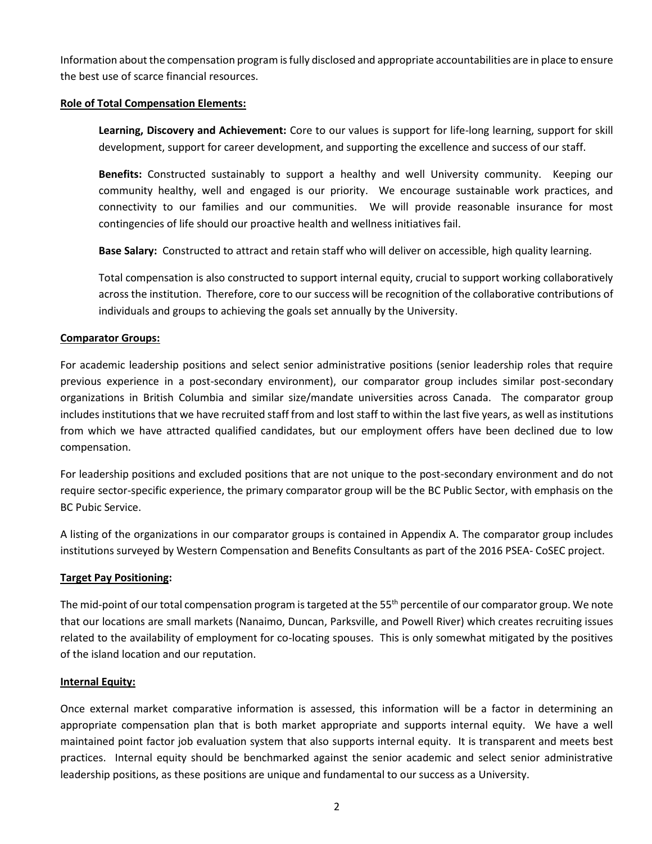Information about the compensation program is fully disclosed and appropriate accountabilities are in place to ensure the best use of scarce financial resources.

### **Role of Total Compensation Elements:**

**Learning, Discovery and Achievement:** Core to our values is support for life-long learning, support for skill development, support for career development, and supporting the excellence and success of our staff.

**Benefits:** Constructed sustainably to support a healthy and well University community. Keeping our community healthy, well and engaged is our priority. We encourage sustainable work practices, and connectivity to our families and our communities. We will provide reasonable insurance for most contingencies of life should our proactive health and wellness initiatives fail.

**Base Salary:** Constructed to attract and retain staff who will deliver on accessible, high quality learning.

Total compensation is also constructed to support internal equity, crucial to support working collaboratively across the institution. Therefore, core to our success will be recognition of the collaborative contributions of individuals and groups to achieving the goals set annually by the University.

### **Comparator Groups:**

For academic leadership positions and select senior administrative positions (senior leadership roles that require previous experience in a post-secondary environment), our comparator group includes similar post-secondary organizations in British Columbia and similar size/mandate universities across Canada. The comparator group includes institutions that we have recruited staff from and lost staff to within the last five years, as well as institutions from which we have attracted qualified candidates, but our employment offers have been declined due to low compensation.

For leadership positions and excluded positions that are not unique to the post-secondary environment and do not require sector-specific experience, the primary comparator group will be the BC Public Sector, with emphasis on the BC Pubic Service.

A listing of the organizations in our comparator groups is contained in Appendix A. The comparator group includes institutions surveyed by Western Compensation and Benefits Consultants as part of the 2016 PSEA- CoSEC project.

### **Target Pay Positioning:**

The mid-point of our total compensation program is targeted at the 55<sup>th</sup> percentile of our comparator group. We note that our locations are small markets (Nanaimo, Duncan, Parksville, and Powell River) which creates recruiting issues related to the availability of employment for co-locating spouses. This is only somewhat mitigated by the positives of the island location and our reputation.

### **Internal Equity:**

Once external market comparative information is assessed, this information will be a factor in determining an appropriate compensation plan that is both market appropriate and supports internal equity. We have a well maintained point factor job evaluation system that also supports internal equity. It is transparent and meets best practices. Internal equity should be benchmarked against the senior academic and select senior administrative leadership positions, as these positions are unique and fundamental to our success as a University.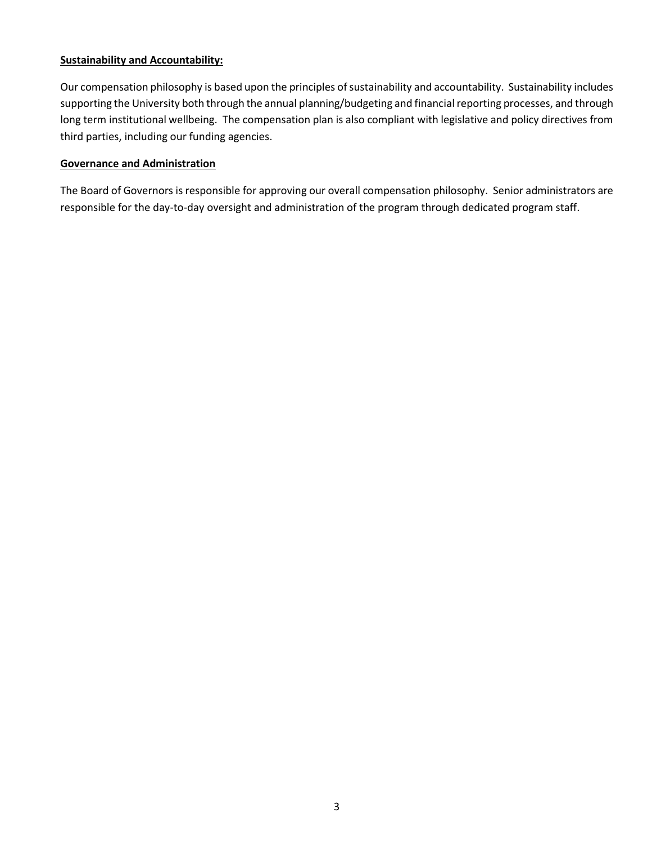### **Sustainability and Accountability:**

Our compensation philosophy is based upon the principles of sustainability and accountability. Sustainability includes supporting the University both through the annual planning/budgeting and financial reporting processes, and through long term institutional wellbeing. The compensation plan is also compliant with legislative and policy directives from third parties, including our funding agencies.

#### **Governance and Administration**

The Board of Governors is responsible for approving our overall compensation philosophy. Senior administrators are responsible for the day-to-day oversight and administration of the program through dedicated program staff.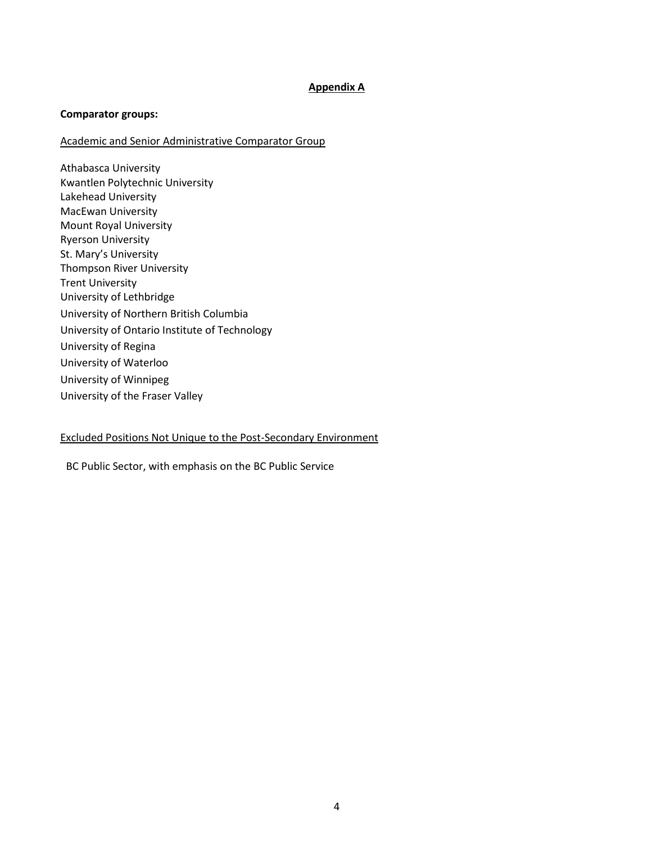### **Appendix A**

#### **Comparator groups:**

#### Academic and Senior Administrative Comparator Group

Athabasca University Kwantlen Polytechnic University Lakehead University MacEwan University Mount Royal University Ryerson University St. Mary's University Thompson River University Trent University University of Lethbridge University of Northern British Columbia University of Ontario Institute of Technology University of Regina University of Waterloo University of Winnipeg University of the Fraser Valley

### Excluded Positions Not Unique to the Post-Secondary Environment

BC Public Sector, with emphasis on the BC Public Service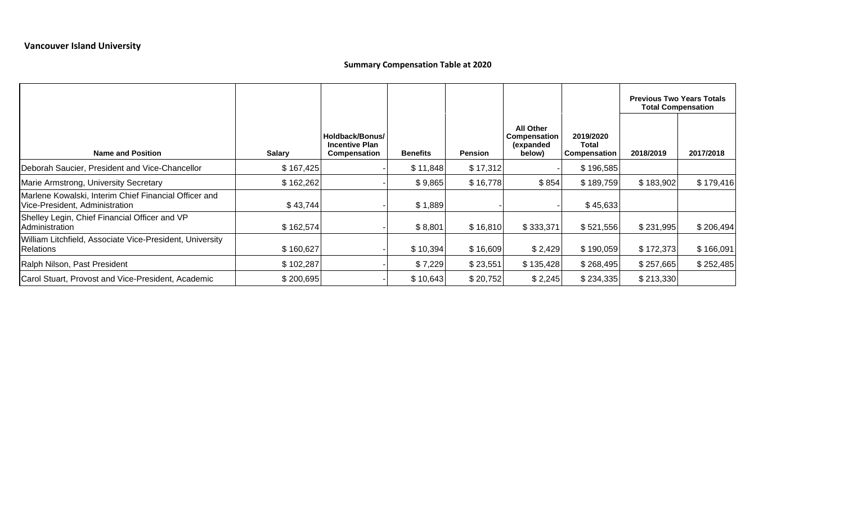### **Summary Compensation Table at 2020**

|                                                                                         |               |                                                          |                 |                |                                                         |                                                  | <b>Previous Two Years Totals</b><br><b>Total Compensation</b> |           |
|-----------------------------------------------------------------------------------------|---------------|----------------------------------------------------------|-----------------|----------------|---------------------------------------------------------|--------------------------------------------------|---------------------------------------------------------------|-----------|
| <b>Name and Position</b>                                                                | <b>Salary</b> | Holdback/Bonus/<br><b>Incentive Plan</b><br>Compensation | <b>Benefits</b> | <b>Pension</b> | <b>All Other</b><br>Compensation<br>(expanded<br>below) | 2019/2020<br><b>Total</b><br><b>Compensation</b> | 2018/2019                                                     | 2017/2018 |
| Deborah Saucier, President and Vice-Chancellor                                          | \$167,425     |                                                          | \$11,848        | \$17,312       |                                                         | \$196,585                                        |                                                               |           |
| Marie Armstrong, University Secretary                                                   | \$162,262     |                                                          | \$9,865         | \$16,778       | \$854                                                   | \$189,759                                        | \$183,902                                                     | \$179,416 |
| Marlene Kowalski, Interim Chief Financial Officer and<br>Vice-President, Administration | \$43,744      |                                                          | \$1,889         |                |                                                         | \$45,633                                         |                                                               |           |
| Shelley Legin, Chief Financial Officer and VP<br>Administration                         | \$162,574     |                                                          | \$8,801         | \$16,810       | \$333,371                                               | \$521,556                                        | \$231,995                                                     | \$206,494 |
| William Litchfield, Associate Vice-President, University<br>Relations                   | \$160,627     |                                                          | \$10,394        | \$16,609       | \$2,429                                                 | \$190,059                                        | \$172,373                                                     | \$166,091 |
| Ralph Nilson, Past President                                                            | \$102,287     |                                                          | \$7,229         | \$23,551       | \$135,428                                               | \$268,495                                        | \$257,665                                                     | \$252,485 |
| Carol Stuart, Provost and Vice-President, Academic                                      | \$200,695     |                                                          | \$10,643        | \$20,752       | \$2,245                                                 | \$234,335                                        | \$213,330                                                     |           |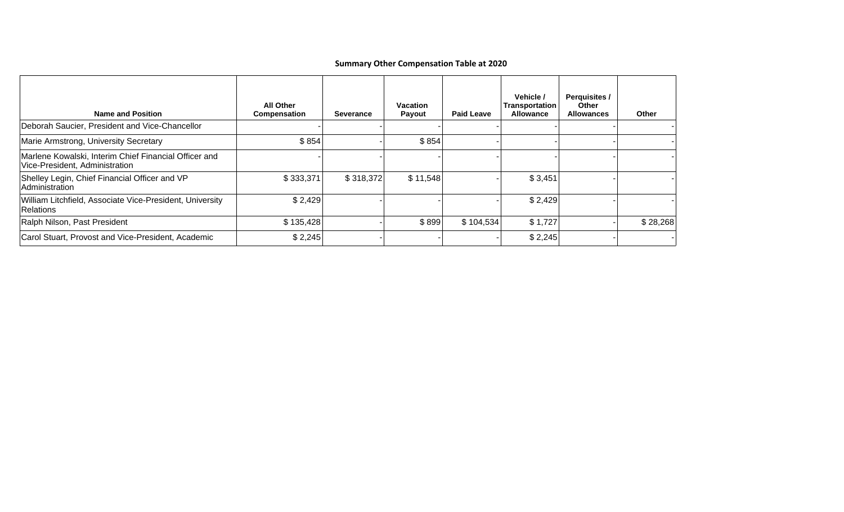### **Summary Other Compensation Table at 2020**

| <b>Name and Position</b>                                                                | <b>All Other</b><br><b>Compensation</b> | Severance | <b>Vacation</b><br>Payout | <b>Paid Leave</b> | Vehicle /<br>Transportation<br><b>Allowance</b> | Perquisites /<br><b>Other</b><br><b>Allowances</b> | Other    |
|-----------------------------------------------------------------------------------------|-----------------------------------------|-----------|---------------------------|-------------------|-------------------------------------------------|----------------------------------------------------|----------|
| Deborah Saucier, President and Vice-Chancellor                                          |                                         |           |                           |                   |                                                 |                                                    |          |
| Marie Armstrong, University Secretary                                                   | \$854                                   |           | \$854                     |                   |                                                 |                                                    |          |
| Marlene Kowalski, Interim Chief Financial Officer and<br>Vice-President, Administration |                                         |           |                           |                   |                                                 |                                                    |          |
| Shelley Legin, Chief Financial Officer and VP<br>Administration                         | \$333,371                               | \$318,372 | \$11,548                  |                   | \$3,451                                         |                                                    |          |
| William Litchfield, Associate Vice-President, University<br><b>Relations</b>            | \$2,429                                 |           |                           |                   | \$2,429                                         |                                                    |          |
| Ralph Nilson, Past President                                                            | \$135,428                               |           | \$899                     | \$104,534         | \$1,727                                         |                                                    | \$28,268 |
| Carol Stuart, Provost and Vice-President, Academic                                      | \$2,245                                 |           |                           |                   | \$2,245                                         |                                                    |          |